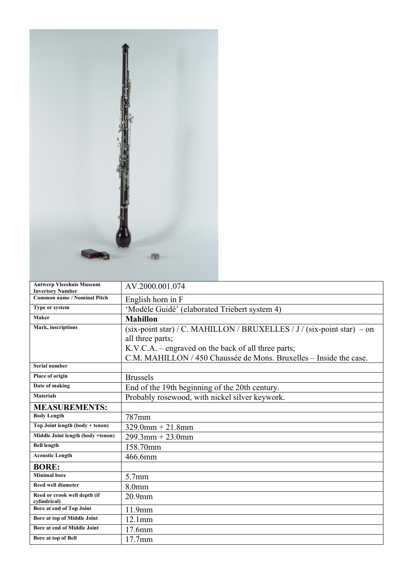| <b>Antwerp Vleeshuis Museum</b><br><b>Invertory Number</b> | AV.2000.001.074                                                          |
|------------------------------------------------------------|--------------------------------------------------------------------------|
| <b>Common name / Nominal Pitch</b>                         | English horn in F                                                        |
| Type or system                                             | 'Modèle Guidé' (elaborated Triebert system 4)                            |
| Maker                                                      | <b>Mahillon</b>                                                          |
| Mark, inscriptions                                         | (six-point star) / C. MAHILLON / BRUXELLES / J / (six-point star) $-$ on |
|                                                            | all three parts;                                                         |
|                                                            | K.V.C.A. – engraved on the back of all three parts;                      |
|                                                            | C.M. MAHILLON / 450 Chaussée de Mons. Bruxelles – Inside the case.       |
| <b>Serial number</b>                                       |                                                                          |
| <b>Place of origin</b>                                     | <b>Brussels</b>                                                          |
| Date of making                                             | End of the 19th beginning of the 20th century.                           |
| <b>Materials</b>                                           | Probably rosewood, with nickel silver keywork.                           |
| <b>MEASUREMENTS:</b>                                       |                                                                          |
| <b>Body Length</b>                                         | 787mm                                                                    |
| Top Joint length (body + tenon)                            | $329.0$ mm + 21.8mm                                                      |
| Middle Joint length (body +tenon)                          | $299.3$ mm + 23.0mm                                                      |
| <b>Bell length</b>                                         | 158.70mm                                                                 |
| <b>Acoustic Length</b>                                     | 466.6mm                                                                  |
| <b>BORE:</b>                                               |                                                                          |
| <b>Minimal</b> bore                                        | $5.7$ mm                                                                 |
| <b>Reed well diameter</b>                                  | 8.0 <sub>mm</sub>                                                        |
| Reed or crook well depth (if<br>cylindrical)               | $20.9$ mm                                                                |
| Bore at end of Top Joint                                   | 11.9mm                                                                   |
| Bore at top of Middle Joint                                | $12.1$ mm                                                                |
| Bore at end of Middle Joint                                | 17.6mm                                                                   |
| <b>Bore</b> at top of Bell                                 | 17.7mm                                                                   |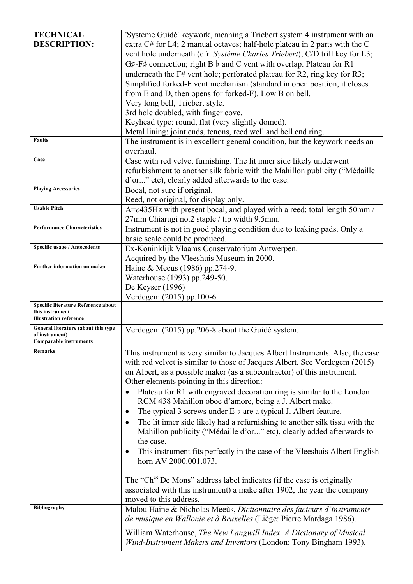| <b>TECHNICAL</b>                                | 'Système Guidé' keywork, meaning a Triebert system 4 instrument with an                                                                  |
|-------------------------------------------------|------------------------------------------------------------------------------------------------------------------------------------------|
| <b>DESCRIPTION:</b>                             | extra $C#$ for L4; 2 manual octaves; half-hole plateau in 2 parts with the C                                                             |
|                                                 | vent hole underneath (cfr. Système Charles Triebert); C/D trill key for L3;                                                              |
|                                                 |                                                                                                                                          |
|                                                 | G#-F# connection; right B $\flat$ and C vent with overlap. Plateau for R1                                                                |
|                                                 | underneath the $F#$ vent hole; perforated plateau for R2, ring key for R3;                                                               |
|                                                 | Simplified forked-F vent mechanism (standard in open position, it closes                                                                 |
|                                                 | from E and D, then opens for forked-F). Low B on bell.                                                                                   |
|                                                 | Very long bell, Triebert style.                                                                                                          |
|                                                 | 3rd hole doubled, with finger cove.                                                                                                      |
|                                                 | Keyhead type: round, flat (very slightly domed).                                                                                         |
|                                                 | Metal lining: joint ends, tenons, reed well and bell end ring.                                                                           |
| <b>Faults</b>                                   | The instrument is in excellent general condition, but the keywork needs an                                                               |
|                                                 | overhaul.                                                                                                                                |
| Case                                            | Case with red velvet furnishing. The lit inner side likely underwent                                                                     |
|                                                 | refurbishment to another silk fabric with the Mahillon publicity ("Médaille"                                                             |
|                                                 | d'or" etc), clearly added afterwards to the case.                                                                                        |
| <b>Playing Accessories</b>                      | Bocal, not sure if original.                                                                                                             |
|                                                 | Reed, not original, for display only.                                                                                                    |
| <b>Usable Pitch</b>                             | $\overline{A = c435}$ Hz with present bocal, and played with a reed: total length 50mm /                                                 |
|                                                 | 27mm Chiarugi no.2 staple / tip width 9.5mm.                                                                                             |
| <b>Performance Characteristics</b>              | Instrument is not in good playing condition due to leaking pads. Only a                                                                  |
|                                                 | basic scale could be produced.                                                                                                           |
| <b>Specific usage / Antecedents</b>             | Ex-Koninklijk Vlaams Conservatorium Antwerpen.                                                                                           |
|                                                 | Acquired by the Vleeshuis Museum in 2000.                                                                                                |
| Further information on maker                    | Haine & Meeus (1986) pp.274-9.                                                                                                           |
|                                                 |                                                                                                                                          |
|                                                 | Waterhouse (1993) pp.249-50.                                                                                                             |
|                                                 | De Keyser (1996)                                                                                                                         |
| Specific literature Reference about             | Verdegem (2015) pp.100-6.                                                                                                                |
| this instrument                                 |                                                                                                                                          |
| <b>Illustration reference</b>                   |                                                                                                                                          |
|                                                 |                                                                                                                                          |
| General literature (about this type             | Verdegem (2015) pp.206-8 about the Guidé system.                                                                                         |
| of instrument)<br><b>Comparable instruments</b> |                                                                                                                                          |
| <b>Remarks</b>                                  |                                                                                                                                          |
|                                                 | This instrument is very similar to Jacques Albert Instruments. Also, the case                                                            |
|                                                 | with red velvet is similar to those of Jacques Albert. See Verdegem (2015)                                                               |
|                                                 | on Albert, as a possible maker (as a subcontractor) of this instrument.                                                                  |
|                                                 | Other elements pointing in this direction:                                                                                               |
|                                                 | Plateau for R1 with engraved decoration ring is similar to the London<br>$\bullet$                                                       |
|                                                 | RCM 438 Mahillon oboe d'amore, being a J. Albert make.                                                                                   |
|                                                 | The typical 3 screws under $E \, \flat$ are a typical J. Albert feature.<br>٠                                                            |
|                                                 | The lit inner side likely had a refurnishing to another silk tissu with the<br>$\bullet$                                                 |
|                                                 | Mahillon publicity ("Médaille d'or" etc), clearly added afterwards to                                                                    |
|                                                 | the case.                                                                                                                                |
|                                                 | This instrument fits perfectly in the case of the Vleeshuis Albert English                                                               |
|                                                 | horn AV 2000.001.073.                                                                                                                    |
|                                                 |                                                                                                                                          |
|                                                 | The "Ch <sup>ee</sup> De Mons" address label indicates (if the case is originally                                                        |
|                                                 | associated with this instrument) a make after 1902, the year the company                                                                 |
|                                                 | moved to this address.                                                                                                                   |
| Bibliography                                    | Malou Haine & Nicholas Meeùs, Dictionnaire des facteurs d'instruments                                                                    |
|                                                 | de musique en Wallonie et à Bruxelles (Liège: Pierre Mardaga 1986).                                                                      |
|                                                 |                                                                                                                                          |
|                                                 | William Waterhouse, The New Langwill Index. A Dictionary of Musical<br>Wind-Instrument Makers and Inventors (London: Tony Bingham 1993). |